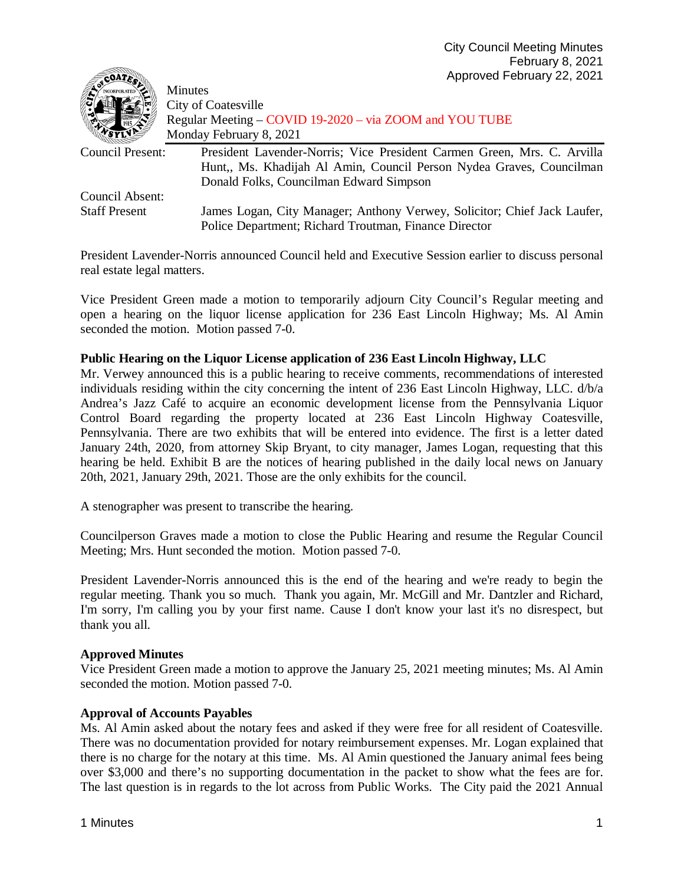| SCOALES                 | $\mu$                                                                    |
|-------------------------|--------------------------------------------------------------------------|
|                         | <b>Minutes</b>                                                           |
|                         | City of Coatesville                                                      |
|                         | Regular Meeting – COVID 19-2020 – via ZOOM and YOU TUBE                  |
|                         | Monday February 8, 2021                                                  |
| <b>Council Present:</b> | President Lavender-Norris; Vice President Carmen Green, Mrs. C. Arvilla  |
|                         | Hunt,, Ms. Khadijah Al Amin, Council Person Nydea Graves, Councilman     |
|                         | Donald Folks, Councilman Edward Simpson                                  |
| Council Absent:         |                                                                          |
| <b>Staff Present</b>    | James Logan, City Manager; Anthony Verwey, Solicitor; Chief Jack Laufer, |
|                         | Police Department; Richard Troutman, Finance Director                    |

President Lavender-Norris announced Council held and Executive Session earlier to discuss personal real estate legal matters.

Vice President Green made a motion to temporarily adjourn City Council's Regular meeting and open a hearing on the liquor license application for 236 East Lincoln Highway; Ms. Al Amin seconded the motion. Motion passed 7-0.

## **Public Hearing on the Liquor License application of 236 East Lincoln Highway, LLC**

Mr. Verwey announced this is a public hearing to receive comments, recommendations of interested individuals residing within the city concerning the intent of 236 East Lincoln Highway, LLC. d/b/a Andrea's Jazz Café to acquire an economic development license from the Pennsylvania Liquor Control Board regarding the property located at 236 East Lincoln Highway Coatesville, Pennsylvania. There are two exhibits that will be entered into evidence. The first is a letter dated January 24th, 2020, from attorney Skip Bryant, to city manager, James Logan, requesting that this hearing be held. Exhibit B are the notices of hearing published in the daily local news on January 20th, 2021, January 29th, 2021. Those are the only exhibits for the council.

A stenographer was present to transcribe the hearing.

Councilperson Graves made a motion to close the Public Hearing and resume the Regular Council Meeting; Mrs. Hunt seconded the motion. Motion passed 7-0.

President Lavender-Norris announced this is the end of the hearing and we're ready to begin the regular meeting. Thank you so much. Thank you again, Mr. McGill and Mr. Dantzler and Richard, I'm sorry, I'm calling you by your first name. Cause I don't know your last it's no disrespect, but thank you all.

# **Approved Minutes**

**STATION** 

Vice President Green made a motion to approve the January 25, 2021 meeting minutes; Ms. Al Amin seconded the motion. Motion passed 7-0.

# **Approval of Accounts Payables**

Ms. Al Amin asked about the notary fees and asked if they were free for all resident of Coatesville. There was no documentation provided for notary reimbursement expenses. Mr. Logan explained that there is no charge for the notary at this time. Ms. Al Amin questioned the January animal fees being over \$3,000 and there's no supporting documentation in the packet to show what the fees are for. The last question is in regards to the lot across from Public Works. The City paid the 2021 Annual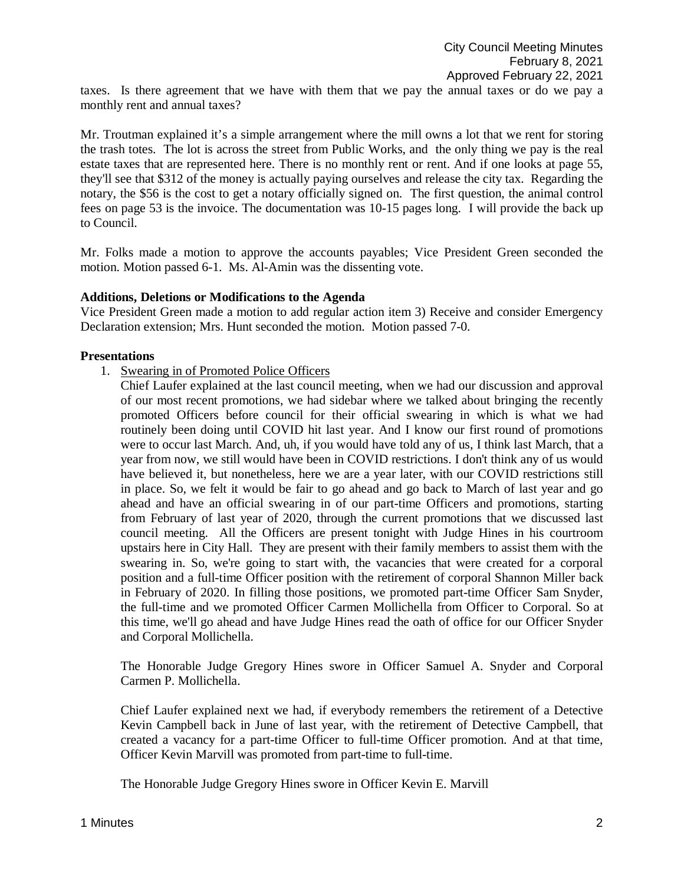taxes. Is there agreement that we have with them that we pay the annual taxes or do we pay a monthly rent and annual taxes?

Mr. Troutman explained it's a simple arrangement where the mill owns a lot that we rent for storing the trash totes. The lot is across the street from Public Works, and the only thing we pay is the real estate taxes that are represented here. There is no monthly rent or rent. And if one looks at page 55, they'll see that \$312 of the money is actually paying ourselves and release the city tax. Regarding the notary, the \$56 is the cost to get a notary officially signed on. The first question, the animal control fees on page 53 is the invoice. The documentation was 10-15 pages long. I will provide the back up to Council.

Mr. Folks made a motion to approve the accounts payables; Vice President Green seconded the motion. Motion passed 6-1. Ms. Al-Amin was the dissenting vote.

#### **Additions, Deletions or Modifications to the Agenda**

Vice President Green made a motion to add regular action item 3) Receive and consider Emergency Declaration extension; Mrs. Hunt seconded the motion. Motion passed 7-0.

#### **Presentations**

- 1. Swearing in of Promoted Police Officers
	- Chief Laufer explained at the last council meeting, when we had our discussion and approval of our most recent promotions, we had sidebar where we talked about bringing the recently promoted Officers before council for their official swearing in which is what we had routinely been doing until COVID hit last year. And I know our first round of promotions were to occur last March. And, uh, if you would have told any of us, I think last March, that a year from now, we still would have been in COVID restrictions. I don't think any of us would have believed it, but nonetheless, here we are a year later, with our COVID restrictions still in place. So, we felt it would be fair to go ahead and go back to March of last year and go ahead and have an official swearing in of our part-time Officers and promotions, starting from February of last year of 2020, through the current promotions that we discussed last council meeting. All the Officers are present tonight with Judge Hines in his courtroom upstairs here in City Hall. They are present with their family members to assist them with the swearing in. So, we're going to start with, the vacancies that were created for a corporal position and a full-time Officer position with the retirement of corporal Shannon Miller back in February of 2020. In filling those positions, we promoted part-time Officer Sam Snyder, the full-time and we promoted Officer Carmen Mollichella from Officer to Corporal. So at this time, we'll go ahead and have Judge Hines read the oath of office for our Officer Snyder and Corporal Mollichella.

The Honorable Judge Gregory Hines swore in Officer Samuel A. Snyder and Corporal Carmen P. Mollichella.

Chief Laufer explained next we had, if everybody remembers the retirement of a Detective Kevin Campbell back in June of last year, with the retirement of Detective Campbell, that created a vacancy for a part-time Officer to full-time Officer promotion. And at that time, Officer Kevin Marvill was promoted from part-time to full-time.

The Honorable Judge Gregory Hines swore in Officer Kevin E. Marvill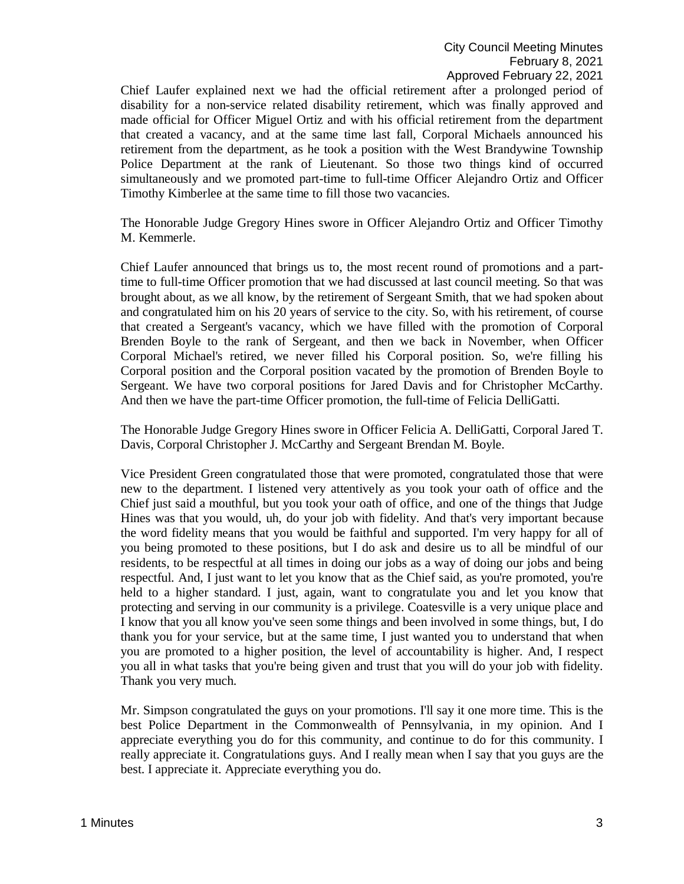Chief Laufer explained next we had the official retirement after a prolonged period of disability for a non-service related disability retirement, which was finally approved and made official for Officer Miguel Ortiz and with his official retirement from the department that created a vacancy, and at the same time last fall, Corporal Michaels announced his retirement from the department, as he took a position with the West Brandywine Township Police Department at the rank of Lieutenant. So those two things kind of occurred simultaneously and we promoted part-time to full-time Officer Alejandro Ortiz and Officer Timothy Kimberlee at the same time to fill those two vacancies.

The Honorable Judge Gregory Hines swore in Officer Alejandro Ortiz and Officer Timothy M. Kemmerle.

Chief Laufer announced that brings us to, the most recent round of promotions and a parttime to full-time Officer promotion that we had discussed at last council meeting. So that was brought about, as we all know, by the retirement of Sergeant Smith, that we had spoken about and congratulated him on his 20 years of service to the city. So, with his retirement, of course that created a Sergeant's vacancy, which we have filled with the promotion of Corporal Brenden Boyle to the rank of Sergeant, and then we back in November, when Officer Corporal Michael's retired, we never filled his Corporal position. So, we're filling his Corporal position and the Corporal position vacated by the promotion of Brenden Boyle to Sergeant. We have two corporal positions for Jared Davis and for Christopher McCarthy. And then we have the part-time Officer promotion, the full-time of Felicia DelliGatti.

The Honorable Judge Gregory Hines swore in Officer Felicia A. DelliGatti, Corporal Jared T. Davis, Corporal Christopher J. McCarthy and Sergeant Brendan M. Boyle.

Vice President Green congratulated those that were promoted, congratulated those that were new to the department. I listened very attentively as you took your oath of office and the Chief just said a mouthful, but you took your oath of office, and one of the things that Judge Hines was that you would, uh, do your job with fidelity. And that's very important because the word fidelity means that you would be faithful and supported. I'm very happy for all of you being promoted to these positions, but I do ask and desire us to all be mindful of our residents, to be respectful at all times in doing our jobs as a way of doing our jobs and being respectful. And, I just want to let you know that as the Chief said, as you're promoted, you're held to a higher standard. I just, again, want to congratulate you and let you know that protecting and serving in our community is a privilege. Coatesville is a very unique place and I know that you all know you've seen some things and been involved in some things, but, I do thank you for your service, but at the same time, I just wanted you to understand that when you are promoted to a higher position, the level of accountability is higher. And, I respect you all in what tasks that you're being given and trust that you will do your job with fidelity. Thank you very much.

Mr. Simpson congratulated the guys on your promotions. I'll say it one more time. This is the best Police Department in the Commonwealth of Pennsylvania, in my opinion. And I appreciate everything you do for this community, and continue to do for this community. I really appreciate it. Congratulations guys. And I really mean when I say that you guys are the best. I appreciate it. Appreciate everything you do.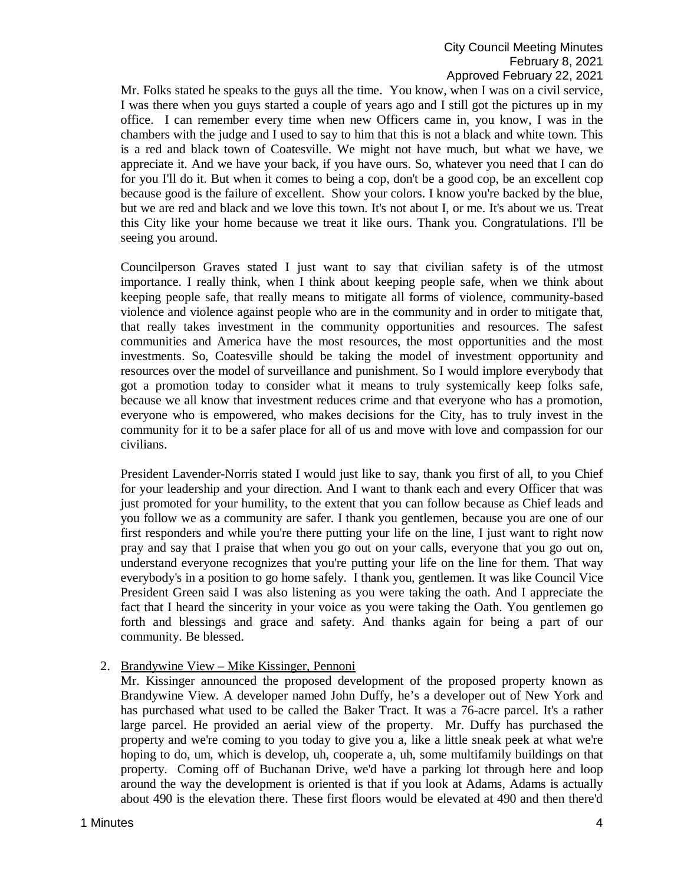Mr. Folks stated he speaks to the guys all the time. You know, when I was on a civil service, I was there when you guys started a couple of years ago and I still got the pictures up in my office. I can remember every time when new Officers came in, you know, I was in the chambers with the judge and I used to say to him that this is not a black and white town. This is a red and black town of Coatesville. We might not have much, but what we have, we appreciate it. And we have your back, if you have ours. So, whatever you need that I can do for you I'll do it. But when it comes to being a cop, don't be a good cop, be an excellent cop because good is the failure of excellent. Show your colors. I know you're backed by the blue, but we are red and black and we love this town. It's not about I, or me. It's about we us. Treat this City like your home because we treat it like ours. Thank you. Congratulations. I'll be seeing you around.

Councilperson Graves stated I just want to say that civilian safety is of the utmost importance. I really think, when I think about keeping people safe, when we think about keeping people safe, that really means to mitigate all forms of violence, community-based violence and violence against people who are in the community and in order to mitigate that, that really takes investment in the community opportunities and resources. The safest communities and America have the most resources, the most opportunities and the most investments. So, Coatesville should be taking the model of investment opportunity and resources over the model of surveillance and punishment. So I would implore everybody that got a promotion today to consider what it means to truly systemically keep folks safe, because we all know that investment reduces crime and that everyone who has a promotion, everyone who is empowered, who makes decisions for the City, has to truly invest in the community for it to be a safer place for all of us and move with love and compassion for our civilians.

President Lavender-Norris stated I would just like to say, thank you first of all, to you Chief for your leadership and your direction. And I want to thank each and every Officer that was just promoted for your humility, to the extent that you can follow because as Chief leads and you follow we as a community are safer. I thank you gentlemen, because you are one of our first responders and while you're there putting your life on the line, I just want to right now pray and say that I praise that when you go out on your calls, everyone that you go out on, understand everyone recognizes that you're putting your life on the line for them. That way everybody's in a position to go home safely. I thank you, gentlemen. It was like Council Vice President Green said I was also listening as you were taking the oath. And I appreciate the fact that I heard the sincerity in your voice as you were taking the Oath. You gentlemen go forth and blessings and grace and safety. And thanks again for being a part of our community. Be blessed.

2. Brandywine View – Mike Kissinger, Pennoni

Mr. Kissinger announced the proposed development of the proposed property known as Brandywine View. A developer named John Duffy, he's a developer out of New York and has purchased what used to be called the Baker Tract. It was a 76-acre parcel. It's a rather large parcel. He provided an aerial view of the property. Mr. Duffy has purchased the property and we're coming to you today to give you a, like a little sneak peek at what we're hoping to do, um, which is develop, uh, cooperate a, uh, some multifamily buildings on that property. Coming off of Buchanan Drive, we'd have a parking lot through here and loop around the way the development is oriented is that if you look at Adams, Adams is actually about 490 is the elevation there. These first floors would be elevated at 490 and then there'd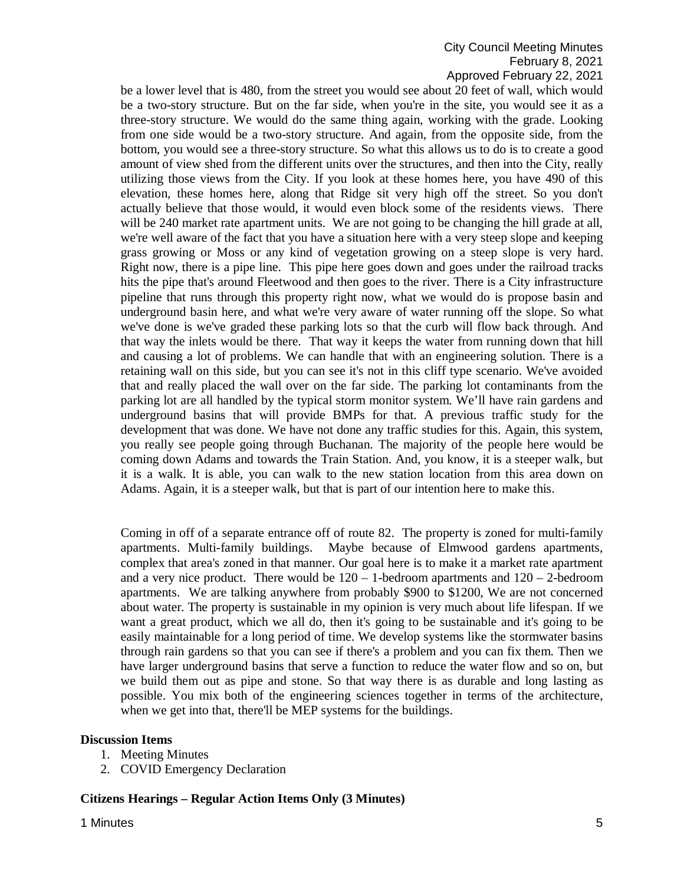# City Council Meeting Minutes February 8, 2021 Approved February 22, 2021

be a lower level that is 480, from the street you would see about 20 feet of wall, which would be a two-story structure. But on the far side, when you're in the site, you would see it as a three-story structure. We would do the same thing again, working with the grade. Looking from one side would be a two-story structure. And again, from the opposite side, from the bottom, you would see a three-story structure. So what this allows us to do is to create a good amount of view shed from the different units over the structures, and then into the City, really utilizing those views from the City. If you look at these homes here, you have 490 of this elevation, these homes here, along that Ridge sit very high off the street. So you don't actually believe that those would, it would even block some of the residents views. There will be 240 market rate apartment units. We are not going to be changing the hill grade at all, we're well aware of the fact that you have a situation here with a very steep slope and keeping grass growing or Moss or any kind of vegetation growing on a steep slope is very hard. Right now, there is a pipe line. This pipe here goes down and goes under the railroad tracks hits the pipe that's around Fleetwood and then goes to the river. There is a City infrastructure pipeline that runs through this property right now, what we would do is propose basin and underground basin here, and what we're very aware of water running off the slope. So what we've done is we've graded these parking lots so that the curb will flow back through. And that way the inlets would be there. That way it keeps the water from running down that hill and causing a lot of problems. We can handle that with an engineering solution. There is a retaining wall on this side, but you can see it's not in this cliff type scenario. We've avoided that and really placed the wall over on the far side. The parking lot contaminants from the parking lot are all handled by the typical storm monitor system. We'll have rain gardens and underground basins that will provide BMPs for that. A previous traffic study for the development that was done. We have not done any traffic studies for this. Again, this system, you really see people going through Buchanan. The majority of the people here would be coming down Adams and towards the Train Station. And, you know, it is a steeper walk, but it is a walk. It is able, you can walk to the new station location from this area down on Adams. Again, it is a steeper walk, but that is part of our intention here to make this.

Coming in off of a separate entrance off of route 82. The property is zoned for multi-family apartments. Multi-family buildings. Maybe because of Elmwood gardens apartments, complex that area's zoned in that manner. Our goal here is to make it a market rate apartment and a very nice product. There would be  $120 - 1$ -bedroom apartments and  $120 - 2$ -bedroom apartments. We are talking anywhere from probably \$900 to \$1200, We are not concerned about water. The property is sustainable in my opinion is very much about life lifespan. If we want a great product, which we all do, then it's going to be sustainable and it's going to be easily maintainable for a long period of time. We develop systems like the stormwater basins through rain gardens so that you can see if there's a problem and you can fix them. Then we have larger underground basins that serve a function to reduce the water flow and so on, but we build them out as pipe and stone. So that way there is as durable and long lasting as possible. You mix both of the engineering sciences together in terms of the architecture, when we get into that, there'll be MEP systems for the buildings.

### **Discussion Items**

- 1. Meeting Minutes
- 2. COVID Emergency Declaration

### **Citizens Hearings – Regular Action Items Only (3 Minutes)**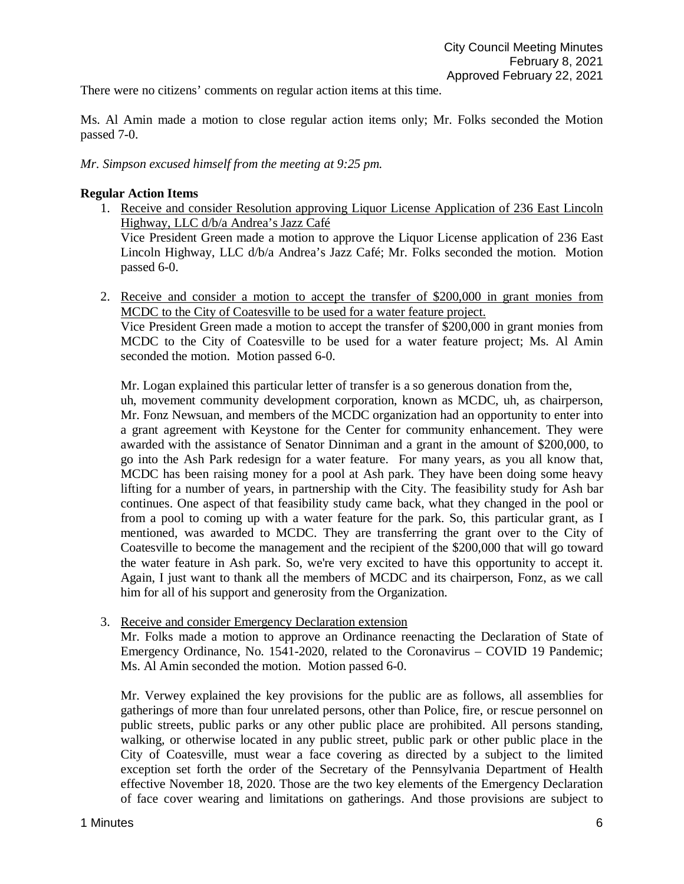There were no citizens' comments on regular action items at this time.

Ms. Al Amin made a motion to close regular action items only; Mr. Folks seconded the Motion passed 7-0.

*Mr. Simpson excused himself from the meeting at 9:25 pm.*

### **Regular Action Items**

- 1. Receive and consider Resolution approving Liquor License Application of 236 East Lincoln Highway, LLC d/b/a Andrea's Jazz Café Vice President Green made a motion to approve the Liquor License application of 236 East Lincoln Highway, LLC d/b/a Andrea's Jazz Café; Mr. Folks seconded the motion. Motion passed 6-0.
- 2. Receive and consider a motion to accept the transfer of \$200,000 in grant monies from MCDC to the City of Coatesville to be used for a water feature project. Vice President Green made a motion to accept the transfer of \$200,000 in grant monies from MCDC to the City of Coatesville to be used for a water feature project; Ms. Al Amin seconded the motion. Motion passed 6-0.

Mr. Logan explained this particular letter of transfer is a so generous donation from the,

uh, movement community development corporation, known as MCDC, uh, as chairperson, Mr. Fonz Newsuan, and members of the MCDC organization had an opportunity to enter into a grant agreement with Keystone for the Center for community enhancement. They were awarded with the assistance of Senator Dinniman and a grant in the amount of \$200,000, to go into the Ash Park redesign for a water feature. For many years, as you all know that, MCDC has been raising money for a pool at Ash park. They have been doing some heavy lifting for a number of years, in partnership with the City. The feasibility study for Ash bar continues. One aspect of that feasibility study came back, what they changed in the pool or from a pool to coming up with a water feature for the park. So, this particular grant, as I mentioned, was awarded to MCDC. They are transferring the grant over to the City of Coatesville to become the management and the recipient of the \$200,000 that will go toward the water feature in Ash park. So, we're very excited to have this opportunity to accept it. Again, I just want to thank all the members of MCDC and its chairperson, Fonz, as we call him for all of his support and generosity from the Organization.

3. Receive and consider Emergency Declaration extension

Mr. Folks made a motion to approve an Ordinance reenacting the Declaration of State of Emergency Ordinance, No. 1541-2020, related to the Coronavirus – COVID 19 Pandemic; Ms. Al Amin seconded the motion. Motion passed 6-0.

Mr. Verwey explained the key provisions for the public are as follows, all assemblies for gatherings of more than four unrelated persons, other than Police, fire, or rescue personnel on public streets, public parks or any other public place are prohibited. All persons standing, walking, or otherwise located in any public street, public park or other public place in the City of Coatesville, must wear a face covering as directed by a subject to the limited exception set forth the order of the Secretary of the Pennsylvania Department of Health effective November 18, 2020. Those are the two key elements of the Emergency Declaration of face cover wearing and limitations on gatherings. And those provisions are subject to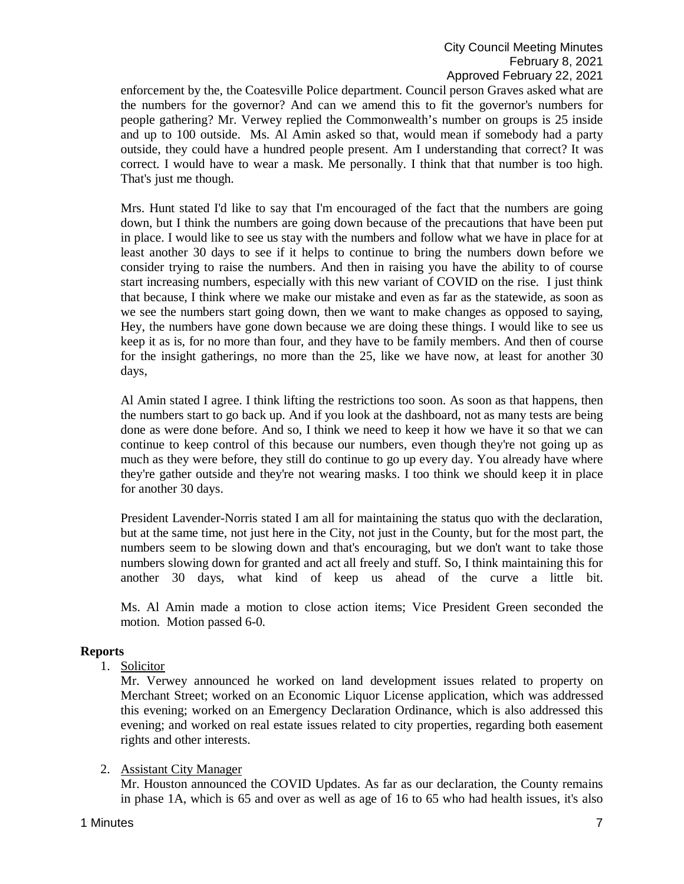enforcement by the, the Coatesville Police department. Council person Graves asked what are the numbers for the governor? And can we amend this to fit the governor's numbers for people gathering? Mr. Verwey replied the Commonwealth's number on groups is 25 inside and up to 100 outside. Ms. Al Amin asked so that, would mean if somebody had a party outside, they could have a hundred people present. Am I understanding that correct? It was correct. I would have to wear a mask. Me personally. I think that that number is too high. That's just me though.

Mrs. Hunt stated I'd like to say that I'm encouraged of the fact that the numbers are going down, but I think the numbers are going down because of the precautions that have been put in place. I would like to see us stay with the numbers and follow what we have in place for at least another 30 days to see if it helps to continue to bring the numbers down before we consider trying to raise the numbers. And then in raising you have the ability to of course start increasing numbers, especially with this new variant of COVID on the rise. I just think that because, I think where we make our mistake and even as far as the statewide, as soon as we see the numbers start going down, then we want to make changes as opposed to saying, Hey, the numbers have gone down because we are doing these things. I would like to see us keep it as is, for no more than four, and they have to be family members. And then of course for the insight gatherings, no more than the 25, like we have now, at least for another 30 days,

Al Amin stated I agree. I think lifting the restrictions too soon. As soon as that happens, then the numbers start to go back up. And if you look at the dashboard, not as many tests are being done as were done before. And so, I think we need to keep it how we have it so that we can continue to keep control of this because our numbers, even though they're not going up as much as they were before, they still do continue to go up every day. You already have where they're gather outside and they're not wearing masks. I too think we should keep it in place for another 30 days.

President Lavender-Norris stated I am all for maintaining the status quo with the declaration, but at the same time, not just here in the City, not just in the County, but for the most part, the numbers seem to be slowing down and that's encouraging, but we don't want to take those numbers slowing down for granted and act all freely and stuff. So, I think maintaining this for another 30 days, what kind of keep us ahead of the curve a little bit.

Ms. Al Amin made a motion to close action items; Vice President Green seconded the motion. Motion passed 6-0.

# **Reports**

1. Solicitor

Mr. Verwey announced he worked on land development issues related to property on Merchant Street; worked on an Economic Liquor License application, which was addressed this evening; worked on an Emergency Declaration Ordinance, which is also addressed this evening; and worked on real estate issues related to city properties, regarding both easement rights and other interests.

### 2. Assistant City Manager

Mr. Houston announced the COVID Updates. As far as our declaration, the County remains in phase 1A, which is 65 and over as well as age of 16 to 65 who had health issues, it's also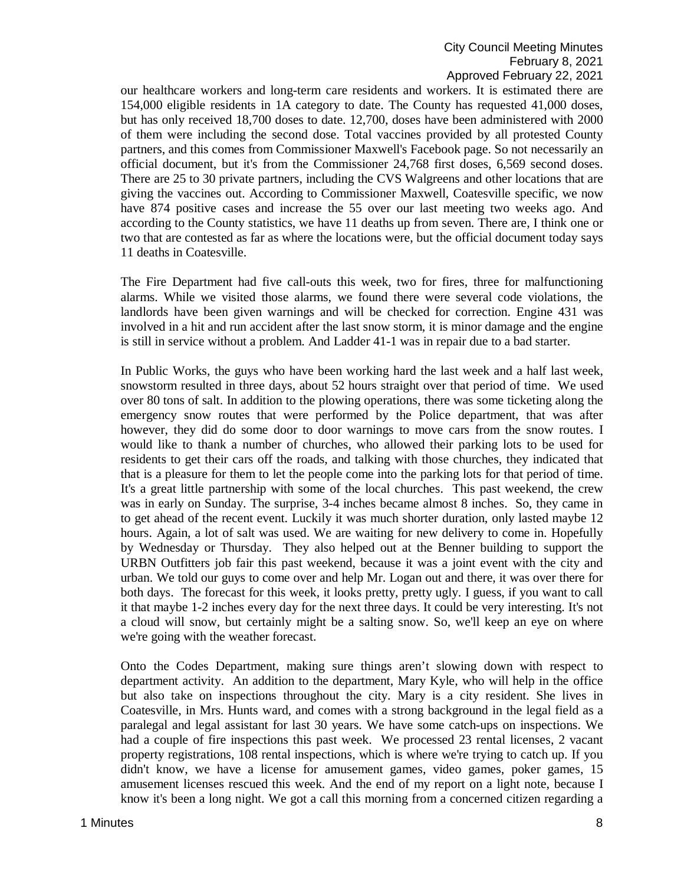our healthcare workers and long-term care residents and workers. It is estimated there are 154,000 eligible residents in 1A category to date. The County has requested 41,000 doses, but has only received 18,700 doses to date. 12,700, doses have been administered with 2000 of them were including the second dose. Total vaccines provided by all protested County partners, and this comes from Commissioner Maxwell's Facebook page. So not necessarily an official document, but it's from the Commissioner 24,768 first doses, 6,569 second doses. There are 25 to 30 private partners, including the CVS Walgreens and other locations that are giving the vaccines out. According to Commissioner Maxwell, Coatesville specific, we now have 874 positive cases and increase the 55 over our last meeting two weeks ago. And according to the County statistics, we have 11 deaths up from seven. There are, I think one or two that are contested as far as where the locations were, but the official document today says 11 deaths in Coatesville.

The Fire Department had five call-outs this week, two for fires, three for malfunctioning alarms. While we visited those alarms, we found there were several code violations, the landlords have been given warnings and will be checked for correction. Engine 431 was involved in a hit and run accident after the last snow storm, it is minor damage and the engine is still in service without a problem. And Ladder 41-1 was in repair due to a bad starter.

In Public Works, the guys who have been working hard the last week and a half last week, snowstorm resulted in three days, about 52 hours straight over that period of time. We used over 80 tons of salt. In addition to the plowing operations, there was some ticketing along the emergency snow routes that were performed by the Police department, that was after however, they did do some door to door warnings to move cars from the snow routes. I would like to thank a number of churches, who allowed their parking lots to be used for residents to get their cars off the roads, and talking with those churches, they indicated that that is a pleasure for them to let the people come into the parking lots for that period of time. It's a great little partnership with some of the local churches. This past weekend, the crew was in early on Sunday. The surprise, 3-4 inches became almost 8 inches. So, they came in to get ahead of the recent event. Luckily it was much shorter duration, only lasted maybe 12 hours. Again, a lot of salt was used. We are waiting for new delivery to come in. Hopefully by Wednesday or Thursday. They also helped out at the Benner building to support the URBN Outfitters job fair this past weekend, because it was a joint event with the city and urban. We told our guys to come over and help Mr. Logan out and there, it was over there for both days. The forecast for this week, it looks pretty, pretty ugly. I guess, if you want to call it that maybe 1-2 inches every day for the next three days. It could be very interesting. It's not a cloud will snow, but certainly might be a salting snow. So, we'll keep an eye on where we're going with the weather forecast.

Onto the Codes Department, making sure things aren't slowing down with respect to department activity. An addition to the department, Mary Kyle, who will help in the office but also take on inspections throughout the city. Mary is a city resident. She lives in Coatesville, in Mrs. Hunts ward, and comes with a strong background in the legal field as a paralegal and legal assistant for last 30 years. We have some catch-ups on inspections. We had a couple of fire inspections this past week. We processed 23 rental licenses, 2 vacant property registrations, 108 rental inspections, which is where we're trying to catch up. If you didn't know, we have a license for amusement games, video games, poker games, 15 amusement licenses rescued this week. And the end of my report on a light note, because I know it's been a long night. We got a call this morning from a concerned citizen regarding a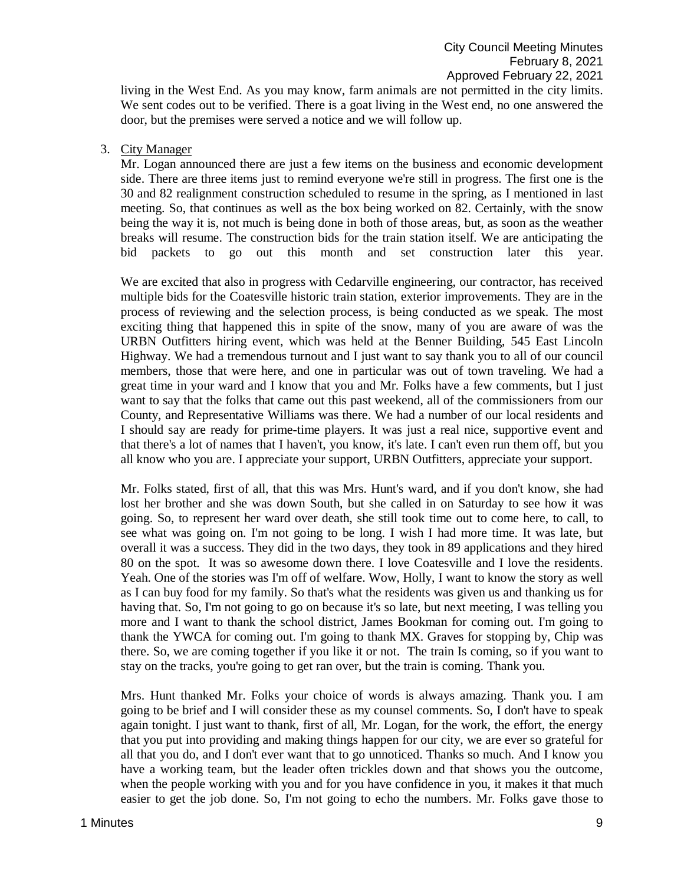living in the West End. As you may know, farm animals are not permitted in the city limits. We sent codes out to be verified. There is a goat living in the West end, no one answered the door, but the premises were served a notice and we will follow up.

3. City Manager

Mr. Logan announced there are just a few items on the business and economic development side. There are three items just to remind everyone we're still in progress. The first one is the 30 and 82 realignment construction scheduled to resume in the spring, as I mentioned in last meeting. So, that continues as well as the box being worked on 82. Certainly, with the snow being the way it is, not much is being done in both of those areas, but, as soon as the weather breaks will resume. The construction bids for the train station itself. We are anticipating the bid packets to go out this month and set construction later this year.

We are excited that also in progress with Cedarville engineering, our contractor, has received multiple bids for the Coatesville historic train station, exterior improvements. They are in the process of reviewing and the selection process, is being conducted as we speak. The most exciting thing that happened this in spite of the snow, many of you are aware of was the URBN Outfitters hiring event, which was held at the Benner Building, 545 East Lincoln Highway. We had a tremendous turnout and I just want to say thank you to all of our council members, those that were here, and one in particular was out of town traveling. We had a great time in your ward and I know that you and Mr. Folks have a few comments, but I just want to say that the folks that came out this past weekend, all of the commissioners from our County, and Representative Williams was there. We had a number of our local residents and I should say are ready for prime-time players. It was just a real nice, supportive event and that there's a lot of names that I haven't, you know, it's late. I can't even run them off, but you all know who you are. I appreciate your support, URBN Outfitters, appreciate your support.

Mr. Folks stated, first of all, that this was Mrs. Hunt's ward, and if you don't know, she had lost her brother and she was down South, but she called in on Saturday to see how it was going. So, to represent her ward over death, she still took time out to come here, to call, to see what was going on. I'm not going to be long. I wish I had more time. It was late, but overall it was a success. They did in the two days, they took in 89 applications and they hired 80 on the spot. It was so awesome down there. I love Coatesville and I love the residents. Yeah. One of the stories was I'm off of welfare. Wow, Holly, I want to know the story as well as I can buy food for my family. So that's what the residents was given us and thanking us for having that. So, I'm not going to go on because it's so late, but next meeting, I was telling you more and I want to thank the school district, James Bookman for coming out. I'm going to thank the YWCA for coming out. I'm going to thank MX. Graves for stopping by, Chip was there. So, we are coming together if you like it or not. The train Is coming, so if you want to stay on the tracks, you're going to get ran over, but the train is coming. Thank you.

Mrs. Hunt thanked Mr. Folks your choice of words is always amazing. Thank you. I am going to be brief and I will consider these as my counsel comments. So, I don't have to speak again tonight. I just want to thank, first of all, Mr. Logan, for the work, the effort, the energy that you put into providing and making things happen for our city, we are ever so grateful for all that you do, and I don't ever want that to go unnoticed. Thanks so much. And I know you have a working team, but the leader often trickles down and that shows you the outcome, when the people working with you and for you have confidence in you, it makes it that much easier to get the job done. So, I'm not going to echo the numbers. Mr. Folks gave those to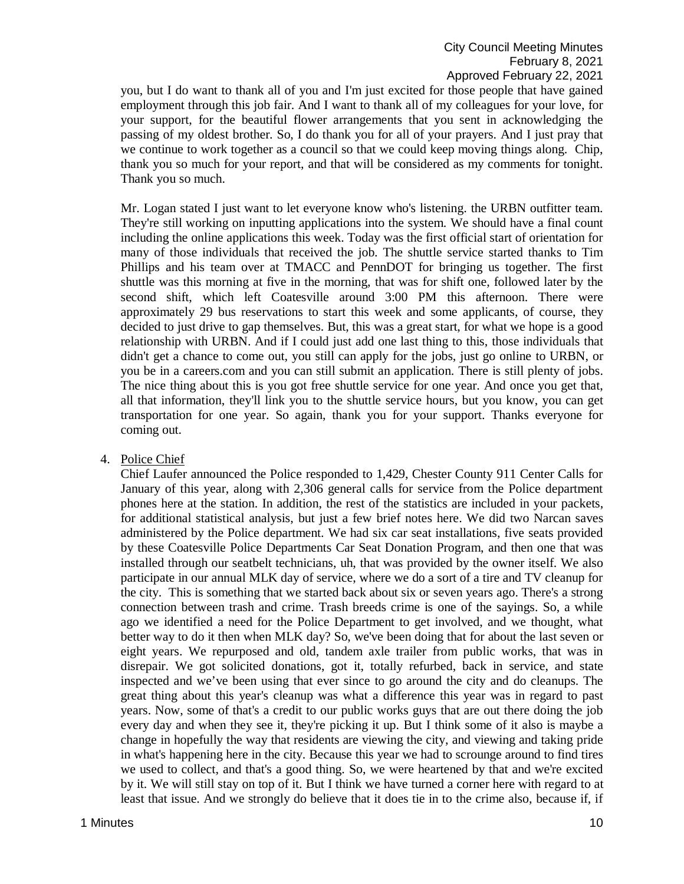you, but I do want to thank all of you and I'm just excited for those people that have gained employment through this job fair. And I want to thank all of my colleagues for your love, for your support, for the beautiful flower arrangements that you sent in acknowledging the passing of my oldest brother. So, I do thank you for all of your prayers. And I just pray that we continue to work together as a council so that we could keep moving things along. Chip, thank you so much for your report, and that will be considered as my comments for tonight. Thank you so much.

Mr. Logan stated I just want to let everyone know who's listening. the URBN outfitter team. They're still working on inputting applications into the system. We should have a final count including the online applications this week. Today was the first official start of orientation for many of those individuals that received the job. The shuttle service started thanks to Tim Phillips and his team over at TMACC and PennDOT for bringing us together. The first shuttle was this morning at five in the morning, that was for shift one, followed later by the second shift, which left Coatesville around 3:00 PM this afternoon. There were approximately 29 bus reservations to start this week and some applicants, of course, they decided to just drive to gap themselves. But, this was a great start, for what we hope is a good relationship with URBN. And if I could just add one last thing to this, those individuals that didn't get a chance to come out, you still can apply for the jobs, just go online to URBN, or you be in a careers.com and you can still submit an application. There is still plenty of jobs. The nice thing about this is you got free shuttle service for one year. And once you get that, all that information, they'll link you to the shuttle service hours, but you know, you can get transportation for one year. So again, thank you for your support. Thanks everyone for coming out.

4. Police Chief

Chief Laufer announced the Police responded to 1,429, Chester County 911 Center Calls for January of this year, along with 2,306 general calls for service from the Police department phones here at the station. In addition, the rest of the statistics are included in your packets, for additional statistical analysis, but just a few brief notes here. We did two Narcan saves administered by the Police department. We had six car seat installations, five seats provided by these Coatesville Police Departments Car Seat Donation Program, and then one that was installed through our seatbelt technicians, uh, that was provided by the owner itself. We also participate in our annual MLK day of service, where we do a sort of a tire and TV cleanup for the city. This is something that we started back about six or seven years ago. There's a strong connection between trash and crime. Trash breeds crime is one of the sayings. So, a while ago we identified a need for the Police Department to get involved, and we thought, what better way to do it then when MLK day? So, we've been doing that for about the last seven or eight years. We repurposed and old, tandem axle trailer from public works, that was in disrepair. We got solicited donations, got it, totally refurbed, back in service, and state inspected and we've been using that ever since to go around the city and do cleanups. The great thing about this year's cleanup was what a difference this year was in regard to past years. Now, some of that's a credit to our public works guys that are out there doing the job every day and when they see it, they're picking it up. But I think some of it also is maybe a change in hopefully the way that residents are viewing the city, and viewing and taking pride in what's happening here in the city. Because this year we had to scrounge around to find tires we used to collect, and that's a good thing. So, we were heartened by that and we're excited by it. We will still stay on top of it. But I think we have turned a corner here with regard to at least that issue. And we strongly do believe that it does tie in to the crime also, because if, if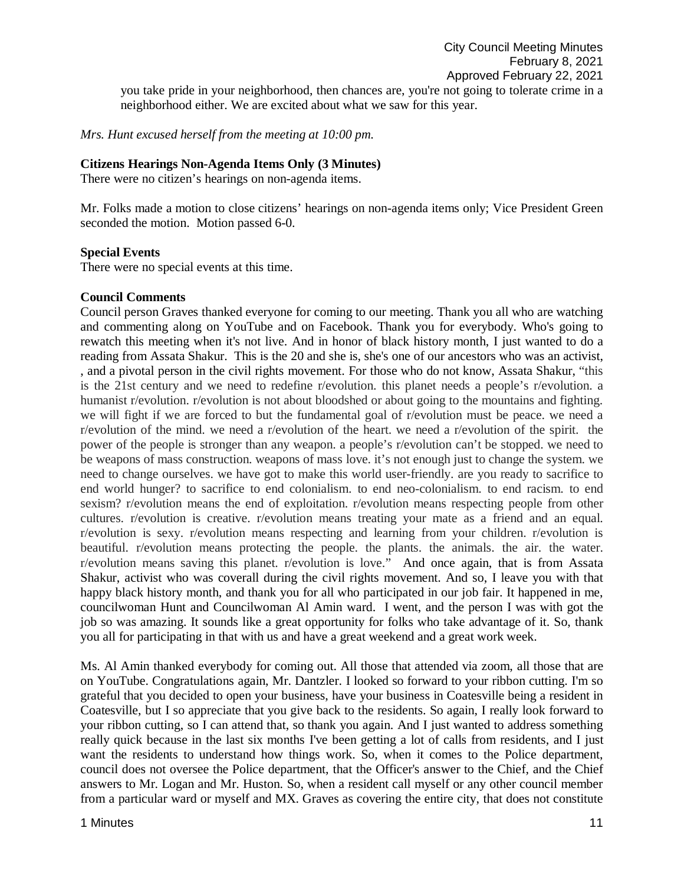you take pride in your neighborhood, then chances are, you're not going to tolerate crime in a neighborhood either. We are excited about what we saw for this year.

*Mrs. Hunt excused herself from the meeting at 10:00 pm.* 

## **Citizens Hearings Non-Agenda Items Only (3 Minutes)**

There were no citizen's hearings on non-agenda items.

Mr. Folks made a motion to close citizens' hearings on non-agenda items only; Vice President Green seconded the motion. Motion passed 6-0.

## **Special Events**

There were no special events at this time.

## **Council Comments**

Council person Graves thanked everyone for coming to our meeting. Thank you all who are watching and commenting along on YouTube and on Facebook. Thank you for everybody. Who's going to rewatch this meeting when it's not live. And in honor of black history month, I just wanted to do a reading from Assata Shakur. This is the 20 and she is, she's one of our ancestors who was an activist, , and a pivotal person in the civil rights movement. For those who do not know, Assata Shakur, "this is the 21st century and we need to redefine r/evolution. this planet needs a people's r/evolution. a humanist r/evolution. r/evolution is not about bloodshed or about going to the mountains and fighting. we will fight if we are forced to but the fundamental goal of r/evolution must be peace. we need a r/evolution of the mind. we need a r/evolution of the heart. we need a r/evolution of the spirit. the power of the people is stronger than any weapon. a people's r/evolution can't be stopped. we need to be weapons of mass construction. weapons of mass love. it's not enough just to change the system. we need to change ourselves. we have got to make this world user-friendly. are you ready to sacrifice to end world hunger? to sacrifice to end colonialism. to end neo-colonialism. to end racism. to end sexism? r/evolution means the end of exploitation. r/evolution means respecting people from other cultures. r/evolution is creative. r/evolution means treating your mate as a friend and an equal. r/evolution is sexy. r/evolution means respecting and learning from your children. r/evolution is beautiful. r/evolution means protecting the people. the plants. the animals. the air. the water. r/evolution means saving this planet. r/evolution is love." And once again, that is from Assata Shakur, activist who was coverall during the civil rights movement. And so, I leave you with that happy black history month, and thank you for all who participated in our job fair. It happened in me, councilwoman Hunt and Councilwoman Al Amin ward. I went, and the person I was with got the job so was amazing. It sounds like a great opportunity for folks who take advantage of it. So, thank you all for participating in that with us and have a great weekend and a great work week.

Ms. Al Amin thanked everybody for coming out. All those that attended via zoom, all those that are on YouTube. Congratulations again, Mr. Dantzler. I looked so forward to your ribbon cutting. I'm so grateful that you decided to open your business, have your business in Coatesville being a resident in Coatesville, but I so appreciate that you give back to the residents. So again, I really look forward to your ribbon cutting, so I can attend that, so thank you again. And I just wanted to address something really quick because in the last six months I've been getting a lot of calls from residents, and I just want the residents to understand how things work. So, when it comes to the Police department, council does not oversee the Police department, that the Officer's answer to the Chief, and the Chief answers to Mr. Logan and Mr. Huston. So, when a resident call myself or any other council member from a particular ward or myself and MX. Graves as covering the entire city, that does not constitute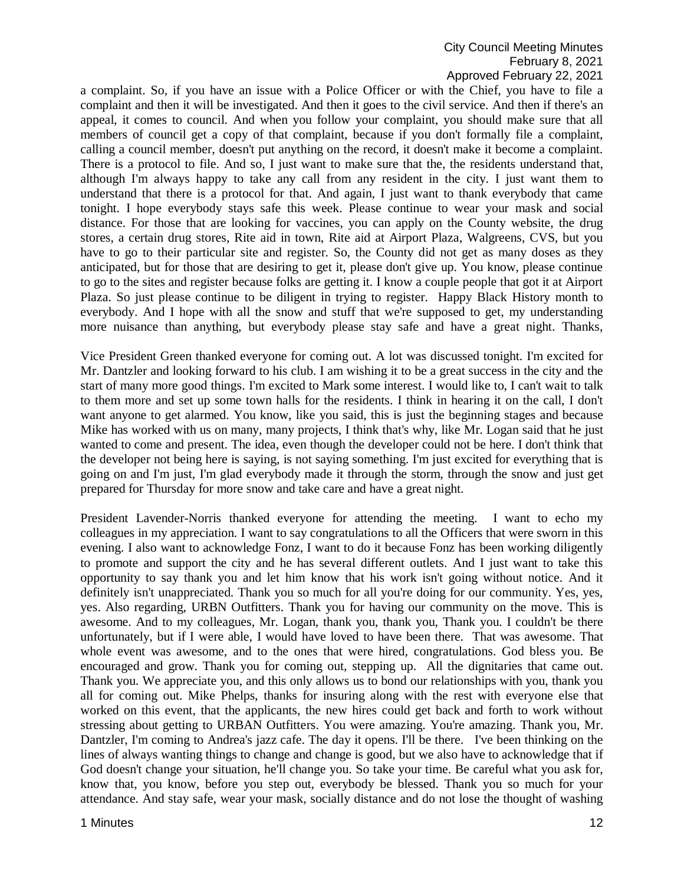# City Council Meeting Minutes February 8, 2021 Approved February 22, 2021

a complaint. So, if you have an issue with a Police Officer or with the Chief, you have to file a complaint and then it will be investigated. And then it goes to the civil service. And then if there's an appeal, it comes to council. And when you follow your complaint, you should make sure that all members of council get a copy of that complaint, because if you don't formally file a complaint, calling a council member, doesn't put anything on the record, it doesn't make it become a complaint. There is a protocol to file. And so, I just want to make sure that the, the residents understand that, although I'm always happy to take any call from any resident in the city. I just want them to understand that there is a protocol for that. And again, I just want to thank everybody that came tonight. I hope everybody stays safe this week. Please continue to wear your mask and social distance. For those that are looking for vaccines, you can apply on the County website, the drug stores, a certain drug stores, Rite aid in town, Rite aid at Airport Plaza, Walgreens, CVS, but you have to go to their particular site and register. So, the County did not get as many doses as they anticipated, but for those that are desiring to get it, please don't give up. You know, please continue to go to the sites and register because folks are getting it. I know a couple people that got it at Airport Plaza. So just please continue to be diligent in trying to register. Happy Black History month to everybody. And I hope with all the snow and stuff that we're supposed to get, my understanding more nuisance than anything, but everybody please stay safe and have a great night. Thanks,

Vice President Green thanked everyone for coming out. A lot was discussed tonight. I'm excited for Mr. Dantzler and looking forward to his club. I am wishing it to be a great success in the city and the start of many more good things. I'm excited to Mark some interest. I would like to, I can't wait to talk to them more and set up some town halls for the residents. I think in hearing it on the call, I don't want anyone to get alarmed. You know, like you said, this is just the beginning stages and because Mike has worked with us on many, many projects, I think that's why, like Mr. Logan said that he just wanted to come and present. The idea, even though the developer could not be here. I don't think that the developer not being here is saying, is not saying something. I'm just excited for everything that is going on and I'm just, I'm glad everybody made it through the storm, through the snow and just get prepared for Thursday for more snow and take care and have a great night.

President Lavender-Norris thanked everyone for attending the meeting. I want to echo my colleagues in my appreciation. I want to say congratulations to all the Officers that were sworn in this evening. I also want to acknowledge Fonz, I want to do it because Fonz has been working diligently to promote and support the city and he has several different outlets. And I just want to take this opportunity to say thank you and let him know that his work isn't going without notice. And it definitely isn't unappreciated. Thank you so much for all you're doing for our community. Yes, yes, yes. Also regarding, URBN Outfitters. Thank you for having our community on the move. This is awesome. And to my colleagues, Mr. Logan, thank you, thank you, Thank you. I couldn't be there unfortunately, but if I were able, I would have loved to have been there. That was awesome. That whole event was awesome, and to the ones that were hired, congratulations. God bless you. Be encouraged and grow. Thank you for coming out, stepping up. All the dignitaries that came out. Thank you. We appreciate you, and this only allows us to bond our relationships with you, thank you all for coming out. Mike Phelps, thanks for insuring along with the rest with everyone else that worked on this event, that the applicants, the new hires could get back and forth to work without stressing about getting to URBAN Outfitters. You were amazing. You're amazing. Thank you, Mr. Dantzler, I'm coming to Andrea's jazz cafe. The day it opens. I'll be there. I've been thinking on the lines of always wanting things to change and change is good, but we also have to acknowledge that if God doesn't change your situation, he'll change you. So take your time. Be careful what you ask for, know that, you know, before you step out, everybody be blessed. Thank you so much for your attendance. And stay safe, wear your mask, socially distance and do not lose the thought of washing